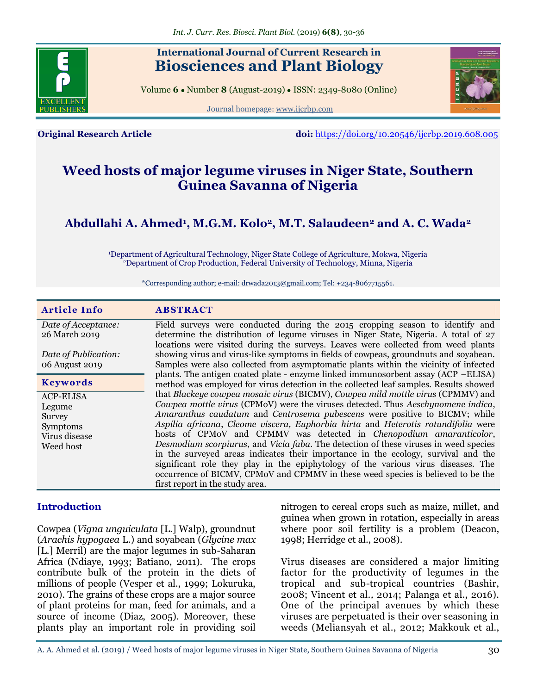

# **International Journal of Current Research in Biosciences and Plant Biology**

Volume **6** ● Number **8** (August-2019) ● ISSN: 2349-8080 (Online)

Journal homepage: [www.ijcrbp.com](http://www.ijcrbp.com/)



**Original Research Article doi:** <https://doi.org/10.20546/ijcrbp.2019.608.005>

# **Weed hosts of major legume viruses in Niger State, Southern Guinea Savanna of Nigeria**

# **Abdullahi A. Ahmed<sup>1</sup> , M.G.M. Kolo2, M.T. Salaudeen<sup>2</sup> and A. C. Wada<sup>2</sup>**

<sup>1</sup>Department of Agricultural Technology, Niger State College of Agriculture, Mokwa, Nigeria <sup>2</sup>Department of Crop Production, Federal University of Technology, Minna, Nigeria

\*Corresponding author; e-mail: drwadla2013@gmail.com; Tel: +234-8067715561.

| <b>Article Info</b>                    | <b>ABSTRACT</b>                                                                                                                                                                                                                                                                                                                                        |
|----------------------------------------|--------------------------------------------------------------------------------------------------------------------------------------------------------------------------------------------------------------------------------------------------------------------------------------------------------------------------------------------------------|
| Date of Acceptance:                    | Field surveys were conducted during the 2015 cropping season to identify and                                                                                                                                                                                                                                                                           |
| 26 March 2019                          | determine the distribution of legume viruses in Niger State, Nigeria. A total of 27                                                                                                                                                                                                                                                                    |
| Date of Publication:<br>06 August 2019 | locations were visited during the surveys. Leaves were collected from weed plants<br>showing virus and virus-like symptoms in fields of cowpeas, groundnuts and soyabean.<br>Samples were also collected from asymptomatic plants within the vicinity of infected<br>plants. The antigen coated plate - enzyme linked immunosorbent assay (ACP -ELISA) |
| <b>Keywords</b>                        | method was employed for virus detection in the collected leaf samples. Results showed                                                                                                                                                                                                                                                                  |
| <b>ACP-ELISA</b>                       | that Blackeye cowpea mosaic virus (BICMV), Cowpea mild mottle virus (CPMMV) and                                                                                                                                                                                                                                                                        |
| Legume                                 | Cowpea mottle virus (CPMoV) were the viruses detected. Thus Aeschynomene indica,                                                                                                                                                                                                                                                                       |
| Survey                                 | Amaranthus caudatum and Centrosema pubescens were positive to BICMV; while<br>Aspilia africana, Cleome viscera, Euphorbia hirta and Heterotis rotundifolia were                                                                                                                                                                                        |
| Symptoms<br>Virus disease              | hosts of CPMoV and CPMMV was detected in <i>Chenopodium amaranticolor</i> ,                                                                                                                                                                                                                                                                            |
| Weed host                              | Desmodium scorpiurus, and Vicia faba. The detection of these viruses in weed species                                                                                                                                                                                                                                                                   |
|                                        | in the surveyed areas indicates their importance in the ecology, survival and the                                                                                                                                                                                                                                                                      |
|                                        | significant role they play in the epiphytology of the various virus diseases. The                                                                                                                                                                                                                                                                      |
|                                        | occurrence of BICMV, CPMoV and CPMMV in these weed species is believed to be the                                                                                                                                                                                                                                                                       |
|                                        | first report in the study area.                                                                                                                                                                                                                                                                                                                        |

#### **Introduction**

Cowpea (*Vigna unguiculata* [L.] Walp), groundnut (*Arachis hypogaea* L.) and soyabean (*Glycine max*  [L.] Merril) are the major legumes in sub-Saharan Africa (Ndiaye, 1993; Batiano, 2011). The crops contribute bulk of the protein in the diets of millions of people (Vesper et al., 1999; Lokuruka, 2010). The grains of these crops are a major source of plant proteins for man, feed for animals, and a source of income (Diaz, 2005). Moreover, these plants play an important role in providing soil

nitrogen to cereal crops such as maize, millet, and guinea when grown in rotation, especially in areas where poor soil fertility is a problem (Deacon, 1998; Herridge et al., 2008).

Virus diseases are considered a major limiting factor for the productivity of legumes in the tropical and sub-tropical countries (Bashir, 2008; Vincent et al*.,* 2014; Palanga et al., 2016). One of the principal avenues by which these viruses are perpetuated is their over seasoning in weeds (Meliansyah et al., 2012; Makkouk et al.,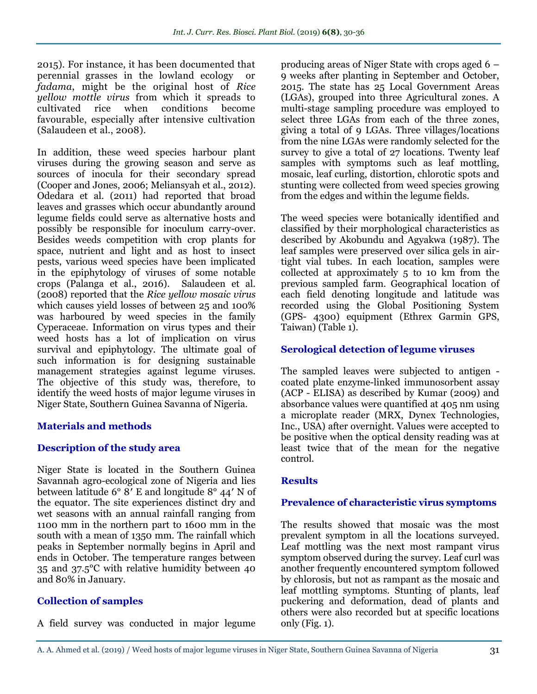2015). For instance, it has been documented that perennial grasses in the lowland ecology or *fadama*, might be the original host of *Rice yellow mottle virus* from which it spreads to cultivated rice when conditions become favourable, especially after intensive cultivation (Salaudeen et al., 2008).

In addition, these weed species harbour plant viruses during the growing season and serve as sources of inocula for their secondary spread (Cooper and Jones, 2006; Meliansyah et al., 2012). Odedara et al. (2011) had reported that broad leaves and grasses which occur abundantly around legume fields could serve as alternative hosts and possibly be responsible for inoculum carry-over. Besides weeds competition with crop plants for space, nutrient and light and as host to insect pests, various weed species have been implicated in the epiphytology of viruses of some notable crops (Palanga et al., 2016). Salaudeen et al*.* (2008) reported that the *Rice yellow mosaic virus* which causes yield losses of between 25 and 100% was harboured by weed species in the family Cyperaceae. Information on virus types and their weed hosts has a lot of implication on virus survival and epiphytology. The ultimate goal of such information is for designing sustainable management strategies against legume viruses. The objective of this study was, therefore, to identify the weed hosts of major legume viruses in Niger State, Southern Guinea Savanna of Nigeria.

#### **Materials and methods**

### **Description of the study area**

Niger State is located in the Southern Guinea Savannah agro-ecological zone of Nigeria and lies between latitude 6° 8′ E and longitude 8° 44′ N of the equator. The site experiences distinct dry and wet seasons with an annual rainfall ranging from 1100 mm in the northern part to 1600 mm in the south with a mean of 1350 mm. The rainfall which peaks in September normally begins in April and ends in October. The temperature ranges between 35 and 37.5°C with relative humidity between 40 and 80% in January.

### **Collection of samples**

A field survey was conducted in major legume

producing areas of Niger State with crops aged 6 – 9 weeks after planting in September and October, 2015. The state has 25 Local Government Areas (LGAs), grouped into three Agricultural zones. A multi-stage sampling procedure was employed to select three LGAs from each of the three zones, giving a total of 9 LGAs. Three villages/locations from the nine LGAs were randomly selected for the survey to give a total of 27 locations. Twenty leaf samples with symptoms such as leaf mottling, mosaic, leaf curling, distortion, chlorotic spots and stunting were collected from weed species growing from the edges and within the legume fields.

The weed species were botanically identified and classified by their morphological characteristics as described by Akobundu and Agyakwa (1987). The leaf samples were preserved over silica gels in airtight vial tubes. In each location, samples were collected at approximately 5 to 10 km from the previous sampled farm. Geographical location of each field denoting longitude and latitude was recorded using the Global Positioning System (GPS- 4300) equipment (Ethrex Garmin GPS, Taiwan) (Table 1).

#### **Serological detection of legume viruses**

The sampled leaves were subjected to antigen coated plate enzyme-linked immunosorbent assay (ACP - ELISA) as described by Kumar (2009) and absorbance values were quantified at 405 nm using a microplate reader (MRX, Dynex Technologies, Inc., USA) after overnight. Values were accepted to be positive when the optical density reading was at least twice that of the mean for the negative control.

#### **Results**

#### **Prevalence of characteristic virus symptoms**

The results showed that mosaic was the most prevalent symptom in all the locations surveyed. Leaf mottling was the next most rampant virus symptom observed during the survey. Leaf curl was another frequently encountered symptom followed by chlorosis, but not as rampant as the mosaic and leaf mottling symptoms. Stunting of plants, leaf puckering and deformation, dead of plants and others were also recorded but at specific locations only (Fig. 1).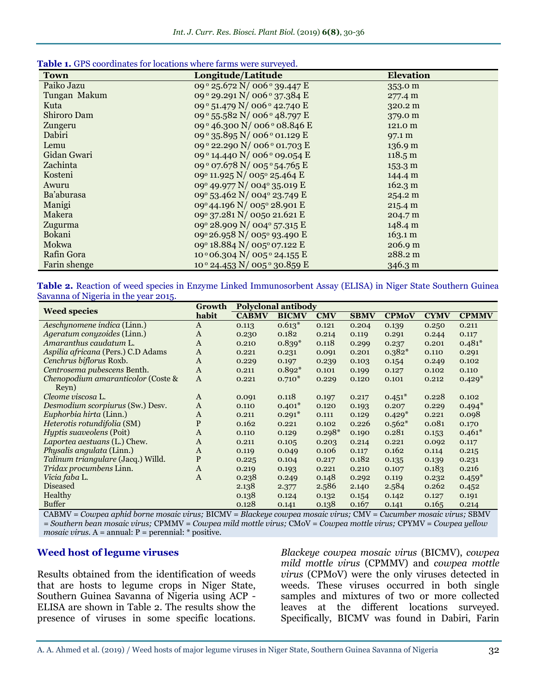| Table 1. GPS coordinates for locations where farms were surveyed. |  |  |  |
|-------------------------------------------------------------------|--|--|--|
|-------------------------------------------------------------------|--|--|--|

| <b>Town</b>  | $m$ and $m$ is the sum $\sigma$ of $\sigma$<br>Longitude/Latitude | <b>Elevation</b>  |
|--------------|-------------------------------------------------------------------|-------------------|
| Paiko Jazu   | 09 ° 25.672 N/ 006 ° 39.447 E                                     | 353.0 m           |
| Tungan Makum | 09 ° 29.291 N/ 006 ° 37.384 E                                     | 277.4 m           |
| Kuta         | 09 ° 51.479 N/ 006 ° 42.740 E                                     | 320.2 m           |
| Shiroro Dam  | 09 ° 55.582 N/ 006 ° 48.797 E                                     | 379.0 m           |
| Zungeru      | 09° 46.300 N/ 006° 08.846 E                                       | 121.0 m           |
| Dabiri       | 09 ° 35.895 N/ 006 ° 01.129 E                                     | 97.1 m            |
| Lemu         | 09° 22.290 N/ 006° 01.703 E                                       | 136.9 m           |
| Gidan Gwari  | 09 <sup>°</sup> 14.440 N/ 006 <sup>°</sup> 09.054 E               | 118.5 m           |
| Zachinta     | 09 ° 07.678 N/ 005 ° 54.765 E                                     | $153.3 \text{ m}$ |
| Kosteni      | 09° 11.925 N/ 005° 25.464 E                                       | 144.4 m           |
| Awuru        | 09° 49.977 N/ 004° 35.019 E                                       | 162.3 m           |
| Ba'aburasa   | 09° 53.462 N/ 004° 23.749 E                                       | 254.2 m           |
| Manigi       | 09°44.196 N/ 005° 28.901 E                                        | 215.4 m           |
| Makera       | 09° 37.281 N/ 0050 21.621 E                                       | 204.7 m           |
| Zugurma      | 09° 28.909 N/ 004° 57.315 E                                       | 148.4 m           |
| Bokani       | 09° 26.958 N/ 005° 93.490 E                                       | 163.1 m           |
| Mokwa        | 09° 18.884 N/ 005° 07.122 E                                       | 206.9 m           |
| Rafin Gora   | 10 ° 06.304 N/ 005 ° 24.155 E                                     | 288.2 m           |
| Farin shenge | 10° 24.453 N/ 005° 30.859 E                                       | 346.3 m           |

**Table 2.** Reaction of weed species in Enzyme Linked Immunosorbent Assay (ELISA) in Niger State Southern Guinea Savanna of Nigeria in the year 2015.

| <b>Weed species</b>                | Growth       | <b>Polyclonal antibody</b> |              |            |             |              |             |              |
|------------------------------------|--------------|----------------------------|--------------|------------|-------------|--------------|-------------|--------------|
|                                    | habit        | <b>CABMV</b>               | <b>BICMV</b> | <b>CMV</b> | <b>SBMV</b> | <b>CPMoV</b> | <b>CYMV</b> | <b>CPMMV</b> |
| Aeschynomene indica (Linn.)        | $\mathbf{A}$ | 0.113                      | $0.613*$     | 0.121      | 0.204       | 0.139        | 0.250       | 0.211        |
| Ageratum conyzoides (Linn.)        | $\mathbf{A}$ | 0.230                      | 0.182        | 0.214      | 0.119       | 0.291        | 0.244       | 0.117        |
| Amaranthus caudatum L.             | $\mathbf{A}$ | 0.210                      | $0.839*$     | 0.118      | 0.299       | 0.237        | 0.201       | $0.481*$     |
| Aspilia africana (Pers.) C.D Adams | $\mathbf{A}$ | 0.221                      | 0.231        | 0.091      | 0.201       | $0.382*$     | 0.110       | 0.291        |
| Cenchrus biflorus Roxb.            | $\mathbf{A}$ | 0.229                      | 0.197        | 0.239      | 0.103       | 0.154        | 0.249       | 0.102        |
| Centrosema pubescens Benth.        | A            | 0.211                      | $0.892*$     | 0.101      | 0.199       | 0.127        | 0.102       | 0.110        |
| Chenopodium amaranticolor (Coste & | $\mathbf{A}$ | 0.221                      | $0.710*$     | 0.229      | 0.120       | 0.101        | 0.212       | $0.429*$     |
| Reyn)                              |              |                            |              |            |             |              |             |              |
| Cleome viscosa L.                  | $\mathbf{A}$ | 0.091                      | 0.118        | 0.197      | 0.217       | $0.451*$     | 0.228       | 0.102        |
| Desmodium scorpiurus (Sw.) Desv.   | $\mathbf{A}$ | 0.110                      | $0.401*$     | 0.120      | 0.193       | 0.207        | 0.229       | $0.494*$     |
| Euphorbia hirta (Linn.)            | $\mathbf{A}$ | 0.211                      | $0.291*$     | 0.111      | 0.129       | $0.429*$     | 0.221       | 0.098        |
| Heterotis rotundifolia (SM)        | P            | 0.162                      | 0.221        | 0.102      | 0.226       | $0.562*$     | 0.081       | 0.170        |
| <i>Hyptis suaveolens</i> (Poit)    | $\mathbf{A}$ | 0.110                      | 0.129        | $0.298*$   | 0.190       | 0.281        | 0.153       | $0.461*$     |
| Laportea aestuans (L.) Chew.       | $\mathbf{A}$ | 0.211                      | 0.105        | 0.203      | 0.214       | 0.221        | 0.092       | 0.117        |
| <i>Physalis angulata</i> (Linn.)   | $\mathbf{A}$ | 0.119                      | 0.049        | 0.106      | 0.117       | 0.162        | 0.114       | 0.215        |
| Talinum triangulare (Jacq.) Willd. | $\mathbf{P}$ | 0.225                      | 0.104        | 0.217      | 0.182       | 0.135        | 0.139       | 0.231        |
| Tridax procumbens Linn.            | $\mathbf{A}$ | 0.219                      | 0.193        | 0.221      | 0.210       | 0.107        | 0.183       | 0.216        |
| Vicia faba L.                      | A            | 0.238                      | 0.249        | 0.148      | 0.292       | 0.119        | 0.232       | $0.459*$     |
| <b>Diseased</b>                    |              | 2.138                      | 2.377        | 2.586      | 2.140       | 2.584        | 0.262       | 0.452        |
| Healthy                            |              | 0.138                      | 0.124        | 0.132      | 0.154       | 0.142        | 0.127       | 0.191        |
| <b>Buffer</b>                      |              | 0.128                      | 0.141        | 0.138      | 0.167       | 0.141        | 0.165       | 0.214        |

CABMV = *Cowpea aphid borne mosaic virus;* BICMV = *Blackeye cowpea mosaic virus;* CMV = *Cucumber mosaic virus;* SBMV *= Southern bean mosaic virus;* CPMMV = *Cowpea mild mottle virus;* CMoV = *Cowpea mottle virus;* CPYMV = *Cowpea yellow mosaic virus.* A = annual: P = perennial: \* positive.

#### **Weed host of legume viruses**

Results obtained from the identification of weeds that are hosts to legume crops in Niger State, Southern Guinea Savanna of Nigeria using ACP - ELISA are shown in Table 2. The results show the presence of viruses in some specific locations.

*Blackeye cowpea mosaic virus* (BICMV), *cowpea mild mottle virus* (CPMMV) and *cowpea mottle virus* (CPMoV) were the only viruses detected in weeds. These viruses occurred in both single samples and mixtures of two or more collected leaves at the different locations surveyed. Specifically, BICMV was found in Dabiri, Farin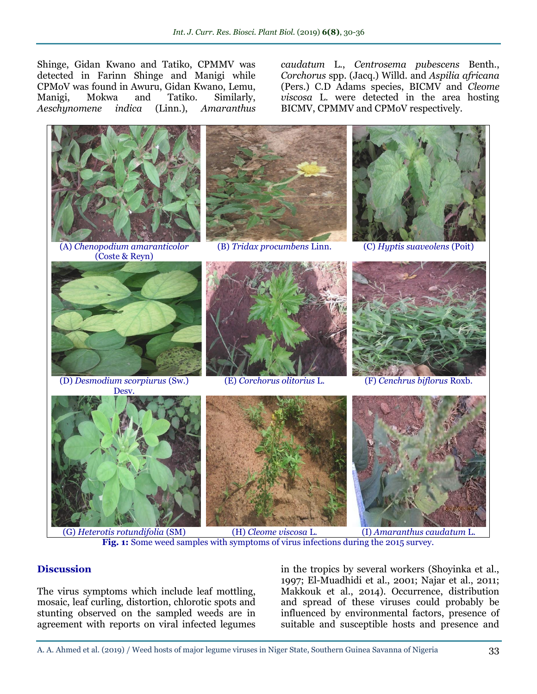Shinge, Gidan Kwano and Tatiko, CPMMV was detected in Farinn Shinge and Manigi while CPMoV was found in Awuru, Gidan Kwano, Lemu, Manigi, Mokwa and Tatiko. Similarly, *Aeschynomene indica* (Linn.), *Amaranthus* 

*caudatum* L., *Centrosema pubescens* Benth., *Corchorus* spp. (Jacq.) Willd. and *Aspilia africana* (Pers.) C.D Adams species, BICMV and *Cleome viscosa* L. were detected in the area hosting BICMV, CPMMV and CPMoV respectively.



**Fig. 1:** Some weed samples with symptoms of virus infections during the 2015 survey.

### **Discussion**

The virus symptoms which include leaf mottling, mosaic, leaf curling, distortion, chlorotic spots and stunting observed on the sampled weeds are in agreement with reports on viral infected legumes

in the tropics by several workers (Shoyinka et al., 1997; El-Muadhidi et al., 2001; Najar et al., 2011; Makkouk et al., 2014). Occurrence, distribution and spread of these viruses could probably be influenced by environmental factors, presence of suitable and susceptible hosts and presence and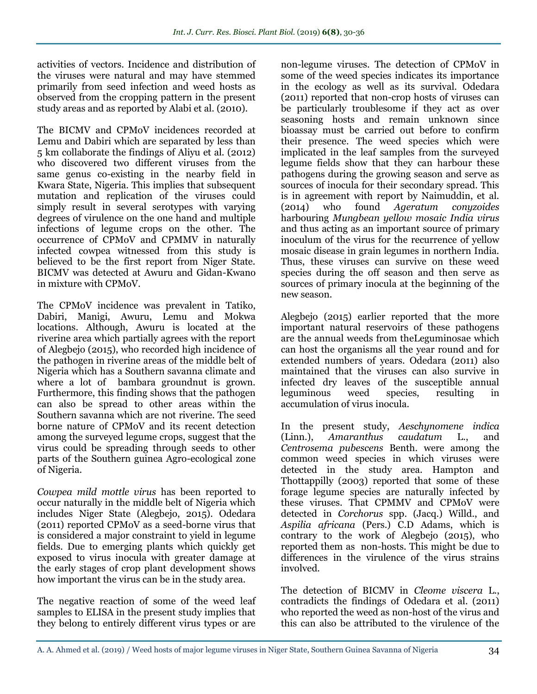activities of vectors. Incidence and distribution of the viruses were natural and may have stemmed primarily from seed infection and weed hosts as observed from the cropping pattern in the present study areas and as reported by Alabi et al. (2010).

The BICMV and CPMoV incidences recorded at Lemu and Dabiri which are separated by less than 5 km collaborate the findings of Aliyu et al. (2012) who discovered two different viruses from the same genus co-existing in the nearby field in Kwara State, Nigeria. This implies that subsequent mutation and replication of the viruses could simply result in several serotypes with varying degrees of virulence on the one hand and multiple infections of legume crops on the other. The occurrence of CPMoV and CPMMV in naturally infected cowpea witnessed from this study is believed to be the first report from Niger State. BICMV was detected at Awuru and Gidan-Kwano in mixture with CPMoV.

The CPMoV incidence was prevalent in Tatiko, Dabiri, Manigi, Awuru, Lemu and Mokwa locations. Although, Awuru is located at the riverine area which partially agrees with the report of Alegbejo (2015), who recorded high incidence of the pathogen in riverine areas of the middle belt of Nigeria which has a Southern savanna climate and where a lot of bambara groundnut is grown. Furthermore, this finding shows that the pathogen can also be spread to other areas within the Southern savanna which are not riverine. The seed borne nature of CPMoV and its recent detection among the surveyed legume crops, suggest that the virus could be spreading through seeds to other parts of the Southern guinea Agro-ecological zone of Nigeria.

*Cowpea mild mottle virus* has been reported to occur naturally in the middle belt of Nigeria which includes Niger State (Alegbejo, 2015). Odedara (2011) reported CPMoV as a seed-borne virus that is considered a major constraint to yield in legume fields. Due to emerging plants which quickly get exposed to virus inocula with greater damage at the early stages of crop plant development shows how important the virus can be in the study area.

The negative reaction of some of the weed leaf samples to ELISA in the present study implies that they belong to entirely different virus types or are

non-legume viruses. The detection of CPMoV in some of the weed species indicates its importance in the ecology as well as its survival. Odedara (2011) reported that non-crop hosts of viruses can be particularly troublesome if they act as over seasoning hosts and remain unknown since bioassay must be carried out before to confirm their presence. The weed species which were implicated in the leaf samples from the surveyed legume fields show that they can harbour these pathogens during the growing season and serve as sources of inocula for their secondary spread. This is in agreement with report by Naimuddin, et al. (2014) who found *Ageratum conyzoides*  harbouring *Mungbean yellow mosaic India virus* and thus acting as an important source of primary inoculum of the virus for the recurrence of yellow mosaic disease in grain legumes in northern India. Thus, these viruses can survive on these weed species during the off season and then serve as sources of primary inocula at the beginning of the new season.

Alegbejo (2015) earlier reported that the more important natural reservoirs of these pathogens are the annual weeds from theLeguminosae which can host the organisms all the year round and for extended numbers of years. Odedara (2011) also maintained that the viruses can also survive in infected dry leaves of the susceptible annual leguminous weed species, resulting in accumulation of virus inocula.

In the present study, *Aeschynomene indica* (Linn.), *Amaranthus caudatum* L., and *Centrosema pubescens* Benth. were among the common weed species in which viruses were detected in the study area. Hampton and Thottappilly (2003) reported that some of these forage legume species are naturally infected by these viruses. That CPMMV and CPMoV were detected in *Corchorus* spp. (Jacq.) Willd., and *Aspilia africana* (Pers.) C.D Adams, which is contrary to the work of Alegbejo (2015), who reported them as non-hosts. This might be due to differences in the virulence of the virus strains involved.

The detection of BICMV in *Cleome viscera* L., contradicts the findings of Odedara et al. (2011) who reported the weed as non-host of the virus and this can also be attributed to the virulence of the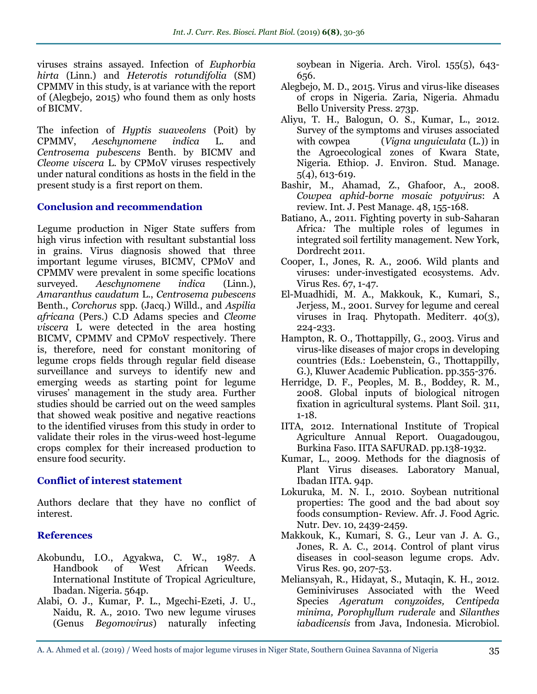viruses strains assayed. Infection of *Euphorbia hirta* (Linn.) and *Heterotis rotundifolia* (SM) CPMMV in this study, is at variance with the report of (Alegbejo, 2015) who found them as only hosts of BICMV.

The infection of *Hyptis suaveolens* (Poit) by CPMMV, *Aeschynomene indica* L. and *Centrosema pubescens* Benth. by BICMV and *Cleome viscera* L. by CPMoV viruses respectively under natural conditions as hosts in the field in the present study is a first report on them.

#### **Conclusion and recommendation**

Legume production in Niger State suffers from high virus infection with resultant substantial loss in grains. Virus diagnosis showed that three important legume viruses, BICMV, CPMoV and CPMMV were prevalent in some specific locations surveyed. *Aeschynomene indica* (Linn.), *Amaranthus caudatum* L., *Centrosema pubescens* Benth., *Corchorus* spp. (Jacq.) Willd., and *Aspilia africana* (Pers.) C.D Adams species and *Cleome viscera* L were detected in the area hosting BICMV, CPMMV and CPMoV respectively. There is, therefore, need for constant monitoring of legume crops fields through regular field disease surveillance and surveys to identify new and emerging weeds as starting point for legume viruses' management in the study area. Further studies should be carried out on the weed samples that showed weak positive and negative reactions to the identified viruses from this study in order to validate their roles in the virus-weed host-legume crops complex for their increased production to ensure food security.

#### **Conflict of interest statement**

Authors declare that they have no conflict of interest.

### **References**

- Akobundu, I.O., Agyakwa, C. W., 1987. A Handbook of West African Weeds. International Institute of Tropical Agriculture, Ibadan. Nigeria. 564p.
- Alabi, O. J., Kumar, P. L., Mgechi-Ezeti, J. U., Naidu, R. A., 2010. Two new legume viruses (Genus *Begomovirus*) naturally infecting

soybean in Nigeria. Arch. Virol. 155(5), 643- 656.

- Alegbejo, M. D., 2015. Virus and virus-like diseases of crops in Nigeria. Zaria, Nigeria. Ahmadu Bello University Press. 273p.
- Aliyu, T. H., Balogun, O. S., Kumar, L., 2012. Survey of the symptoms and viruses associated with cowpea (*Vigna unguiculata* (L.)) in the Agroecological zones of Kwara State, Nigeria. Ethiop. J. Environ. Stud. Manage. 5(4), 613-619.
- Bashir, M., Ahamad, Z., Ghafoor, A., 2008. *Cowpea aphid-borne mosaic potyvirus*: A review. Int. J. Pest Manage. 48, 155-168.
- Batiano, A., 2011. Fighting poverty in sub-Saharan Africa*:* The multiple roles of legumes in integrated soil fertility management. New York, Dordrecht 2011.
- Cooper, I., Jones, R. A., 2006. Wild plants and viruses: under-investigated ecosystems. Adv. Virus Res. 67, 1-47.
- El-Muadhidi, M. A., Makkouk, K., Kumari, S., Jerjess, M., 2001. Survey for legume and cereal viruses in Iraq. Phytopath. Mediterr. 40(3), 224-233.
- Hampton, R. O., Thottappilly, G., 2003. Virus and virus-like diseases of major crops in developing countries (Eds.: Loebenstein, G., Thottappilly, G.), Kluwer Academic Publication. pp.355-376.
- Herridge, D. F., Peoples, M. B., Boddey, R. M., 2008. Global inputs of biological nitrogen fixation in agricultural systems. Plant Soil. 311, 1-18.
- IITA, 2012. International Institute of Tropical Agriculture Annual Report. Ouagadougou, Burkina Faso. IITA SAFURAD. pp.138-1932.
- Kumar, L., 2009. Methods for the diagnosis of Plant Virus diseases*.* Laboratory Manual, Ibadan IITA. 94p.
- Lokuruka, M. N. I., 2010. Soybean nutritional properties: The good and the bad about soy foods consumption- Review. Afr. J. Food Agric. Nutr. Dev. 10, 2439-2459.
- Makkouk, K., Kumari, S. G., Leur van J. A. G., Jones, R. A. C., 2014. Control of plant virus diseases in cool-season legume crops. Adv. Virus Res. 90, 207-53.
- Meliansyah, R., Hidayat, S., Mutaqin, K. H., 2012. Geminiviruses Associated with the Weed Species *Ageratum conyzoides, Centipeda minima, Porophyllum ruderale* and *Silanthes iabadicensis* from Java, Indonesia. Microbiol.